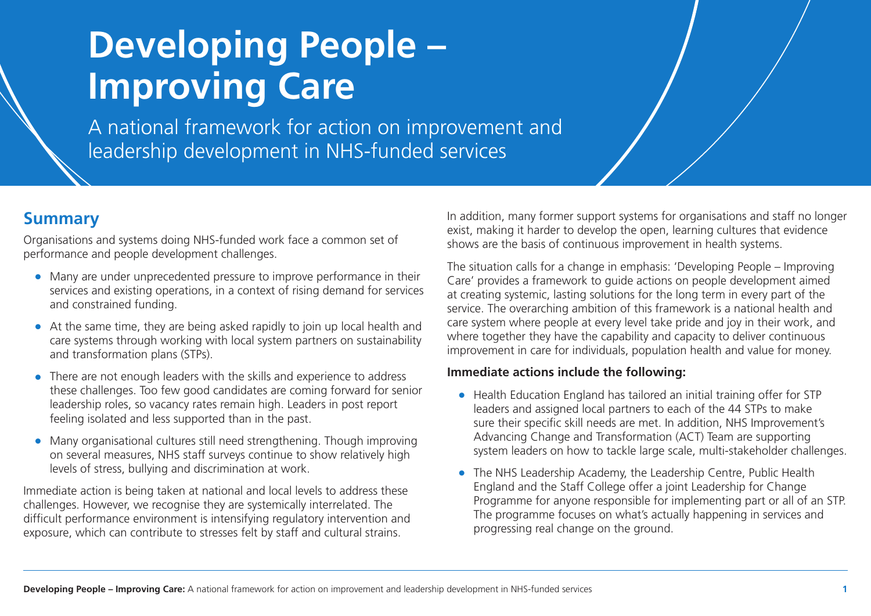# **Developing People – Improving Care**

A national framework for action on improvement and leadership development in NHS-funded services

#### **Summary**

Organisations and systems doing NHS-funded work face a common set of performance and people development challenges.

- Many are under unprecedented pressure to improve performance in their services and existing operations, in a context of rising demand for services and constrained funding.
- At the same time, they are being asked rapidly to join up local health and care systems through working with local system partners on sustainability and transformation plans (STPs).
- There are not enough leaders with the skills and experience to address these challenges. Too few good candidates are coming forward for senior leadership roles, so vacancy rates remain high. Leaders in post report feeling isolated and less supported than in the past.
- Many organisational cultures still need strengthening. Though improving on several measures, NHS staff surveys continue to show relatively high levels of stress, bullying and discrimination at work.

Immediate action is being taken at national and local levels to address these challenges. However, we recognise they are systemically interrelated. The difficult performance environment is intensifying regulatory intervention and exposure, which can contribute to stresses felt by staff and cultural strains.

In addition, many former support systems for organisations and staff no longer exist, making it harder to develop the open, learning cultures that evidence shows are the basis of continuous improvement in health systems.

The situation calls for a change in emphasis: 'Developing People – Improving Care' provides a framework to guide actions on people development aimed at creating systemic, lasting solutions for the long term in every part of the service. The overarching ambition of this framework is a national health and care system where people at every level take pride and joy in their work, and where together they have the capability and capacity to deliver continuous improvement in care for individuals, population health and value for money.

#### **Immediate actions include the following:**

- Health Education England has tailored an initial training offer for STP leaders and assigned local partners to each of the 44 STPs to make sure their specific skill needs are met. In addition, NHS Improvement's Advancing Change and Transformation (ACT) Team are supporting system leaders on how to tackle large scale, multi-stakeholder challenges.
- The NHS Leadership Academy, the Leadership Centre, Public Health England and the Staff College offer a joint Leadership for Change Programme for anyone responsible for implementing part or all of an STP. The programme focuses on what's actually happening in services and progressing real change on the ground.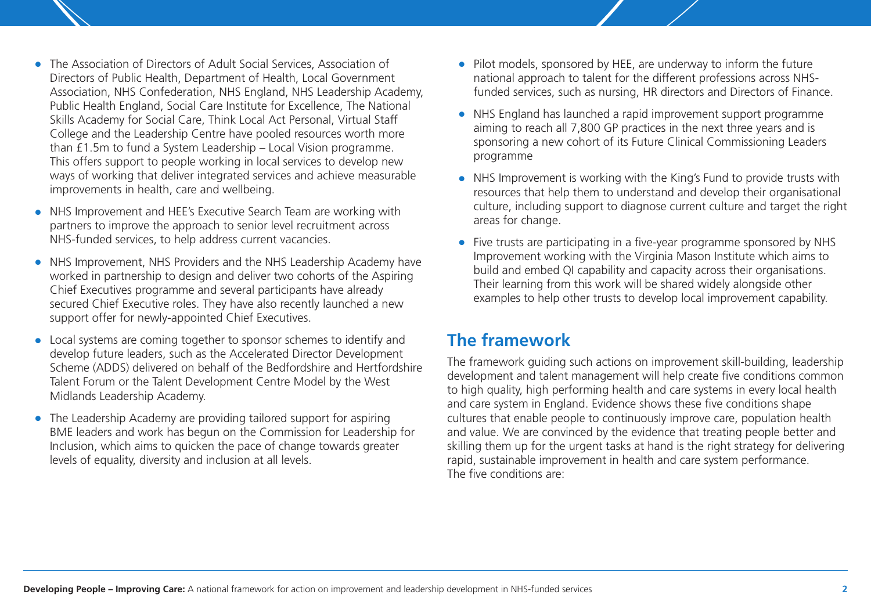- The Association of Directors of Adult Social Services, Association of Directors of Public Health, Department of Health, Local Government Association, NHS Confederation, NHS England, NHS Leadership Academy, Public Health England, Social Care Institute for Excellence, The National Skills Academy for Social Care, Think Local Act Personal, Virtual Staff College and the Leadership Centre have pooled resources worth more than £1.5m to fund a System Leadership – Local Vision programme. This offers support to people working in local services to develop new ways of working that deliver integrated services and achieve measurable improvements in health, care and wellbeing.
- NHS Improvement and HEE's Executive Search Team are working with partners to improve the approach to senior level recruitment across NHS-funded services, to help address current vacancies.
- NHS Improvement, NHS Providers and the NHS Leadership Academy have worked in partnership to design and deliver two cohorts of the Aspiring Chief Executives programme and several participants have already secured Chief Executive roles. They have also recently launched a new support offer for newly-appointed Chief Executives.
- Local systems are coming together to sponsor schemes to identify and develop future leaders, such as the Accelerated Director Development Scheme (ADDS) delivered on behalf of the Bedfordshire and Hertfordshire Talent Forum or the Talent Development Centre Model by the West Midlands Leadership Academy.
- The Leadership Academy are providing tailored support for aspiring BME leaders and work has begun on the Commission for Leadership for Inclusion, which aims to quicken the pace of change towards greater levels of equality, diversity and inclusion at all levels.
- Pilot models, sponsored by HEE, are underway to inform the future national approach to talent for the different professions across NHSfunded services, such as nursing, HR directors and Directors of Finance.
- NHS England has launched a rapid improvement support programme aiming to reach all 7,800 GP practices in the next three years and is sponsoring a new cohort of its Future Clinical Commissioning Leaders programme
- NHS Improvement is working with the King's Fund to provide trusts with resources that help them to understand and develop their organisational culture, including support to diagnose current culture and target the right areas for change.
- Five trusts are participating in a five-year programme sponsored by NHS Improvement working with the Virginia Mason Institute which aims to build and embed QI capability and capacity across their organisations. Their learning from this work will be shared widely alongside other examples to help other trusts to develop local improvement capability.

#### **The framework**

The framework guiding such actions on improvement skill-building, leadership development and talent management will help create five conditions common to high quality, high performing health and care systems in every local health and care system in England. Evidence shows these five conditions shape cultures that enable people to continuously improve care, population health and value. We are convinced by the evidence that treating people better and skilling them up for the urgent tasks at hand is the right strategy for delivering rapid, sustainable improvement in health and care system performance. The five conditions are: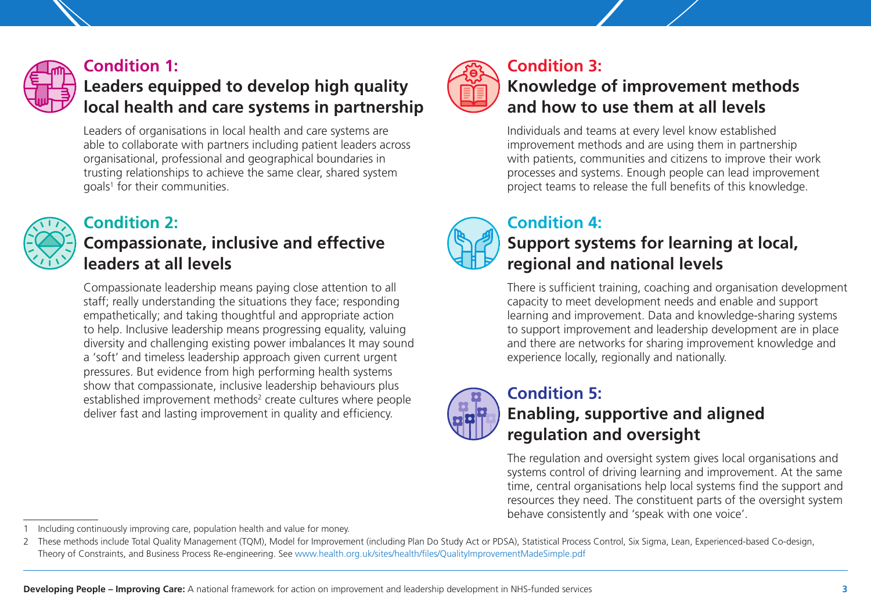

#### **Condition 1:**

## **Leaders equipped to develop high quality local health and care systems in partnership**

Leaders of organisations in local health and care systems are able to collaborate with partners including patient leaders across organisational, professional and geographical boundaries in trusting relationships to achieve the same clear, shared system goals<sup>1</sup> for their communities.

### **Condition 2:**

### **Compassionate, inclusive and effective leaders at all levels**

Compassionate leadership means paying close attention to all staff; really understanding the situations they face; responding empathetically; and taking thoughtful and appropriate action to help. Inclusive leadership means progressing equality, valuing diversity and challenging existing power imbalances It may sound a 'soft' and timeless leadership approach given current urgent pressures. But evidence from high performing health systems show that compassionate, inclusive leadership behaviours plus established improvement methods<sup>2</sup> create cultures where people deliver fast and lasting improvement in quality and efficiency.



#### **Condition 3: Knowledge of improvement methods and how to use them at all levels**

Individuals and teams at every level know established improvement methods and are using them in partnership with patients, communities and citizens to improve their work processes and systems. Enough people can lead improvement project teams to release the full benefits of this knowledge.

#### **Condition 4: Support systems for learning at local, regional and national levels**

There is sufficient training, coaching and organisation development capacity to meet development needs and enable and support learning and improvement. Data and knowledge-sharing systems to support improvement and leadership development are in place and there are networks for sharing improvement knowledge and experience locally, regionally and nationally.



#### **Condition 5: Enabling, supportive and aligned regulation and oversight**

The regulation and oversight system gives local organisations and systems control of driving learning and improvement. At the same time, central organisations help local systems find the support and resources they need. The constituent parts of the oversight system behave consistently and 'speak with one voice'.

<sup>1</sup> Including continuously improving care, population health and value for money.

<sup>2</sup> These methods include Total Quality Management (TQM), Model for Improvement (including Plan Do Study Act or PDSA), Statistical Process Control, Six Sigma, Lean, Experienced-based Co-design, Theory of Constraints, and Business Process Re-engineering. See www.health.org.uk/sites/health/files/QualityImprovementMadeSimple.pdf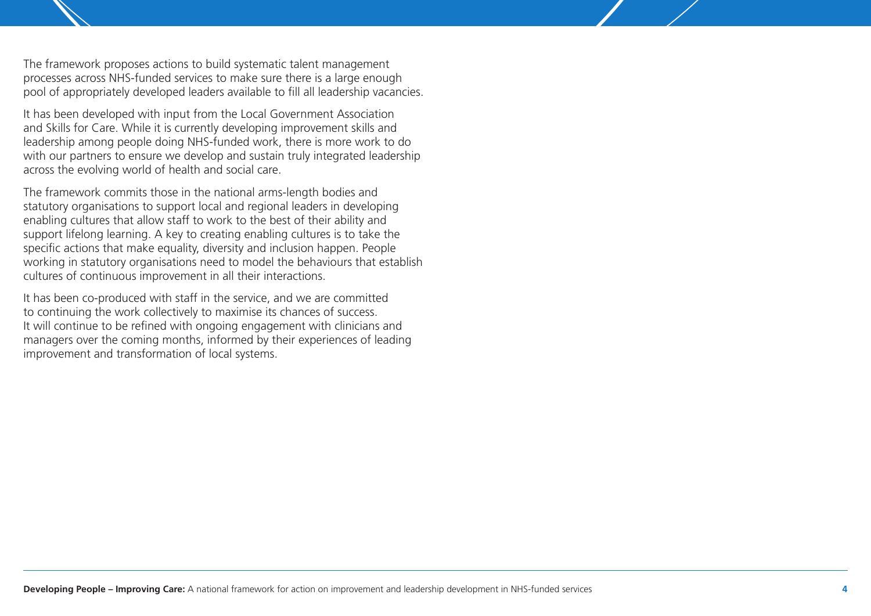The framework proposes actions to build systematic talent management processes across NHS-funded services to make sure there is a large enough pool of appropriately developed leaders available to fill all leadership vacancies.

It has been developed with input from the Local Government Association and Skills for Care. While it is currently developing improvement skills and leadership among people doing NHS-funded work, there is more work to do with our partners to ensure we develop and sustain truly integrated leadership across the evolving world of health and social care.

The framework commits those in the national arms-length bodies and statutory organisations to support local and regional leaders in developing enabling cultures that allow staff to work to the best of their ability and support lifelong learning. A key to creating enabling cultures is to take the specific actions that make equality, diversity and inclusion happen. People working in statutory organisations need to model the behaviours that establish cultures of continuous improvement in all their interactions.

It has been co-produced with staff in the service, and we are committed to continuing the work collectively to maximise its chances of success. It will continue to be refined with ongoing engagement with clinicians and managers over the coming months, informed by their experiences of leading improvement and transformation of local systems.